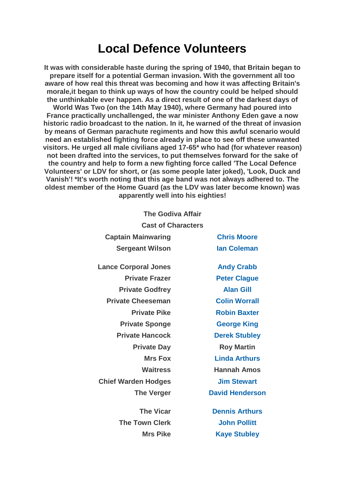## **Local Defence Volunteers**

**It was with considerable haste during the spring of 1940, that Britain began to prepare itself for a potential German invasion. With the government all too aware of how real this threat was becoming and how it was affecting Britain's morale,it began to think up ways of how the country could be helped should the unthinkable ever happen. As a direct result of one of the darkest days of World Was Two (on the 14th May 1940), where Germany had poured into France practically unchallenged, the war minister Anthony Eden gave a now historic radio broadcast to the nation. In it, he warned of the threat of invasion by means of German parachute regiments and how this awful scenario would need an established fighting force already in place to see off these unwanted visitors. He urged all male civilians aged 17-65\* who had (for whatever reason) not been drafted into the services, to put themselves forward for the sake of the country and help to form a new fighting force called 'The Local Defence Volunteers' or LDV for short, or (as some people later joked), 'Look, Duck and Vanish'! \*It's worth noting that this age band was not always adhered to. The oldest member of the Home Guard (as the LDV was later become known) was apparently well into his eighties!**

| <b>The Godiva Affair</b>    |                        |
|-----------------------------|------------------------|
| <b>Cast of Characters</b>   |                        |
| <b>Captain Mainwaring</b>   | <b>Chris Moore</b>     |
| <b>Sergeant Wilson</b>      | <b>lan Coleman</b>     |
| <b>Lance Corporal Jones</b> | <b>Andy Crabb</b>      |
| <b>Private Frazer</b>       | <b>Peter Clague</b>    |
| <b>Private Godfrey</b>      | <b>Alan Gill</b>       |
| <b>Private Cheeseman</b>    | <b>Colin Worrall</b>   |
| <b>Private Pike</b>         | <b>Robin Baxter</b>    |
| <b>Private Sponge</b>       | <b>George King</b>     |
| <b>Private Hancock</b>      | <b>Derek Stubley</b>   |
| <b>Private Day</b>          | <b>Roy Martin</b>      |
| <b>Mrs Fox</b>              | <b>Linda Arthurs</b>   |
| <b>Waitress</b>             | <b>Hannah Amos</b>     |
| <b>Chief Warden Hodges</b>  | <b>Jim Stewart</b>     |
| <b>The Verger</b>           | <b>David Henderson</b> |
| <b>The Vicar</b>            | <b>Dennis Arthurs</b>  |
| <b>The Town Clerk</b>       | <b>John Pollitt</b>    |
| <b>Mrs Pike</b>             | <b>Kaye Stubley</b>    |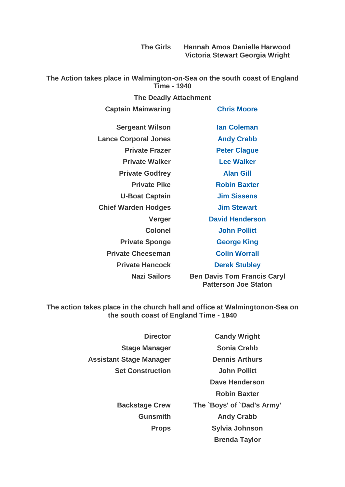**The Girls Hannah Amos Danielle Harwood Victoria Stewart Georgia Wright**

**The Action takes place in Walmington-on-Sea on the south coast of England Time - 1940**

| <b>Captain Mainwaring</b>   | <b>Chris Moore</b>                                         |
|-----------------------------|------------------------------------------------------------|
| <b>Sergeant Wilson</b>      | <b>Ian Coleman</b>                                         |
| <b>Lance Corporal Jones</b> | <b>Andy Crabb</b>                                          |
| <b>Private Frazer</b>       | <b>Peter Clague</b>                                        |
| <b>Private Walker</b>       | <b>Lee Walker</b>                                          |
| <b>Private Godfrey</b>      | <b>Alan Gill</b>                                           |
| <b>Private Pike</b>         | <b>Robin Baxter</b>                                        |
| <b>U-Boat Captain</b>       | <b>Jim Sissens</b>                                         |
| <b>Chief Warden Hodges</b>  | <b>Jim Stewart</b>                                         |
| Verger                      | <b>David Henderson</b>                                     |
| <b>Colonel</b>              | <b>John Pollitt</b>                                        |
| <b>Private Sponge</b>       | <b>George King</b>                                         |
| <b>Private Cheeseman</b>    | <b>Colin Worrall</b>                                       |
| <b>Private Hancock</b>      | <b>Derek Stubley</b>                                       |
| <b>Nazi Sailors</b>         | <b>Ben Davis Tom Francis Caryl</b><br>Patterson Joe Staton |

**The action takes place in the church hall and office at Walmingtonon-Sea on the south coast of England Time - 1940**

> **Director Candy Wright Assistant Stage Manager Dennis Arthurs**

**Stage Manager Sonia Crabb Set Construction John Pollitt Dave Henderson Robin Baxter Backstage Crew The `Boys' of `Dad's Army' Gunsmith Andy Crabb Props Sylvia Johnson Brenda Taylor**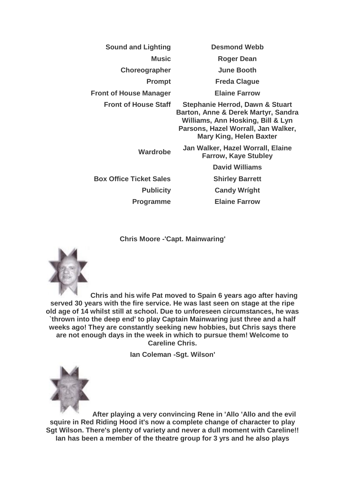| <b>Sound and Lighting</b>      | <b>Desmond Webb</b>                                                                                                                                                                             |
|--------------------------------|-------------------------------------------------------------------------------------------------------------------------------------------------------------------------------------------------|
| Music                          | <b>Roger Dean</b>                                                                                                                                                                               |
| <b>Choreographer</b>           | <b>June Booth</b>                                                                                                                                                                               |
| <b>Prompt</b>                  | <b>Freda Clague</b>                                                                                                                                                                             |
| <b>Front of House Manager</b>  | <b>Elaine Farrow</b>                                                                                                                                                                            |
| <b>Front of House Staff</b>    | <b>Stephanie Herrod, Dawn &amp; Stuart</b><br>Barton, Anne & Derek Martyr, Sandra<br>Williams, Ann Hosking, Bill & Lyn<br>Parsons, Hazel Worrall, Jan Walker,<br><b>Mary King, Helen Baxter</b> |
| Wardrobe                       | Jan Walker, Hazel Worrall, Elaine<br><b>Farrow, Kaye Stubley</b>                                                                                                                                |
|                                | <b>David Williams</b>                                                                                                                                                                           |
| <b>Box Office Ticket Sales</b> | <b>Shirley Barrett</b>                                                                                                                                                                          |
| <b>Publicity</b>               | <b>Candy Wright</b>                                                                                                                                                                             |
| Programme                      | <b>Elaine Farrow</b>                                                                                                                                                                            |

**Chris Moore -'Capt. Mainwaring'**



**Chris and his wife Pat moved to Spain 6 years ago after having served 30 years with the fire service. He was last seen on stage at the ripe old age of 14 whilst still at school. Due to unforeseen circumstances, he was `thrown into the deep end' to play Captain Mainwaring just three and a half weeks ago! They are constantly seeking new hobbies, but Chris says there are not enough days in the week in which to pursue them! Welcome to Careline Chris.**

**Ian Coleman -Sgt. Wilson'**



**After playing a very convincing Rene in 'Allo 'Allo and the evil squire in Red Riding Hood it's now a complete change of character to play Sgt Wilson. There's plenty of variety and never a dull moment with Careline!! Ian has been a member of the theatre group for 3 yrs and he also plays**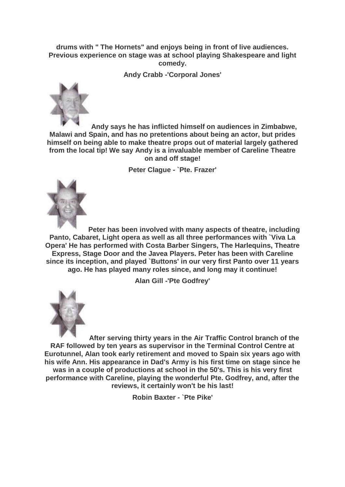**drums with " The Hornets" and enjoys being in front of live audiences. Previous experience on stage was at school playing Shakespeare and light comedy.**

**Andy Crabb -'Corporal Jones'**



**Andy says he has inflicted himself on audiences in Zimbabwe, Malawi and Spain, and has no pretentions about being an actor, but prides himself on being able to make theatre props out of material largely gathered from the local tip! We say Andy is a invaluable member of Careline Theatre on and off stage!**

**Peter Clague - `Pte. Frazer'**



**Peter has been involved with many aspects of theatre, including Panto, Cabaret, Light opera as well as all three performances with `Viva La Opera' He has performed with Costa Barber Singers, The Harlequins, Theatre Express, Stage Door and the Javea Players. Peter has been with Careline since its inception, and played `Buttons' in our very first Panto over 11 years ago. He has played many roles since, and long may it continue!**

**Alan Gill -'Pte Godfrey'**



**After serving thirty years in the Air Traffic Control branch of the RAF followed by ten years as supervisor in the Terminal Control Centre at Eurotunnel, Alan took early retirement and moved to Spain six years ago with his wife Ann. His appearance in Dad's Army is his first time on stage since he was in a couple of productions at school in the 50's. This is his very first performance with Careline, playing the wonderful Pte. Godfrey, and, after the reviews, it certainly won't be his last!**

**Robin Baxter - `Pte Pike'**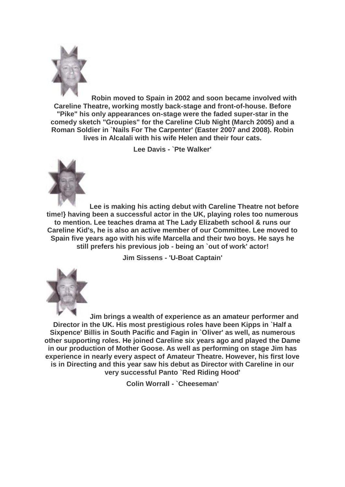

**Robin moved to Spain in 2002 and soon became involved with Careline Theatre, working mostly back-stage and front-of-house. Before "Pike" his only appearances on-stage were the faded super-star in the comedy sketch "Groupies" for the Careline Club Night (March 2005) and a Roman Soldier in `Nails For The Carpenter' (Easter 2007 and 2008). Robin lives in Alcalali with his wife Helen and their four cats.**

**Lee Davis - `Pte Walker'**



**Lee is making his acting debut with Careline Theatre not before time!} having been a successful actor in the UK, playing roles too numerous to mention. Lee teaches drama at The Lady Elizabeth school & runs our Careline Kid's, he is also an active member of our Committee. Lee moved to Spain five years ago with his wife Marcella and their two boys. He says he still prefers his previous job - being an `out of work' actor!**

**Jim Sissens - 'U-Boat Captain'**



**Jim brings a wealth of experience as an amateur performer and Director in the UK. His most prestigious roles have been Kipps in `Half a Sixpence' Billis in South Pacific and Fagin in `Oliver' as well, as numerous other supporting roles. He joined Careline six years ago and played the Dame in our production of Mother Goose. As well as performing on stage Jim has experience in nearly every aspect of Amateur Theatre. However, his first love is in Directing and this year saw his debut as Director with Careline in our very successful Panto `Red Riding Hood'**

**Colin Worrall - `Cheeseman'**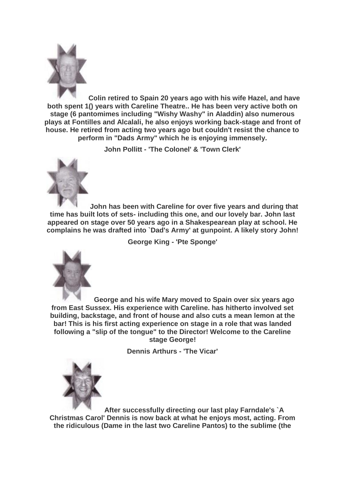

**Colin retired to Spain 20 years ago with his wife Hazel, and have both spent 1() years with Careline Theatre.. He has been very active both on stage (6 pantomimes including "Wishy Washy" in Aladdin) also numerous plays at Fontilles and Alcalali, he also enjoys working back-stage and front of house. He retired from acting two years ago but couldn't resist the chance to perform in "Dads Army" which he is enjoying immensely.**

**John Pollitt - 'The Colonel' & 'Town Clerk'**



**John has been with Careline for over five years and during that time has built lots of sets- including this one, and our lovely bar. John last appeared on stage over 50 years ago in a Shakespearean play at school. He complains he was drafted into `Dad's Army' at gunpoint. A likely story John!**

**George King - 'Pte Sponge'**



**George and his wife Mary moved to Spain over six years ago from East Sussex. His experience with Careline. has hitherto involved set building, backstage, and front of house and also cuts a mean lemon at the bar! This is his first acting experience on stage in a role that was landed following a "slip of the tongue" to the Director! Welcome to the Careline stage George!**

**Dennis Arthurs - 'The Vicar'**



**After successfully directing our last play Farndale's `A Christmas Carol' Dennis is now back at what he enjoys most, acting. From the ridiculous (Dame in the last two Careline Pantos) to the sublime (the**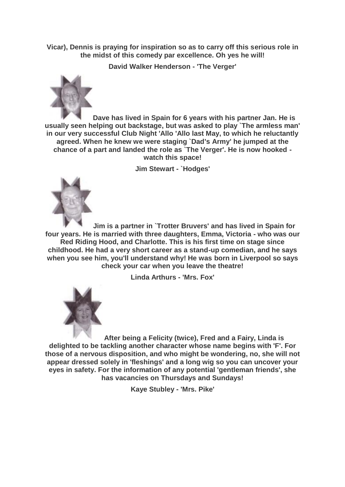**Vicar), Dennis is praying for inspiration so as to carry off this serious role in the midst of this comedy par excellence. Oh yes he will!**

**David Walker Henderson - 'The Verger'**



**Dave has lived in Spain for 6 years with his partner Jan. He is usually seen helping out backstage, but was asked to play `The armless man' in our very successful Club Night 'Allo 'Allo last May, to which he reluctantly agreed. When he knew we were staging `Dad's Army' he jumped at the chance of a part and landed the role as `The Verger'. He is now hooked watch this space!**

**Jim Stewart - `Hodges'**



**Jim is a partner in `Trotter Bruvers' and has lived in Spain for four years. He is married with three daughters, Emma, Victoria - who was our Red Riding Hood, and Charlotte. This is his first time on stage since childhood. He had a very short career as a stand-up comedian, and he says when you see him, you'll understand why! He was born in Liverpool so says check your car when you leave the theatre!**

**Linda Arthurs - 'Mrs. Fox'**



**After being a Felicity (twice), Fred and a Fairy, Linda is delighted to be tackling another character whose name begins with 'F'. For those of a nervous disposition, and who might be wondering, no, she will not appear dressed solely in 'fleshings' and a long wig so you can uncover your eyes in safety. For the information of any potential 'gentleman friends', she has vacancies on Thursdays and Sundays!**

**Kaye Stubley - 'Mrs. Pike'**